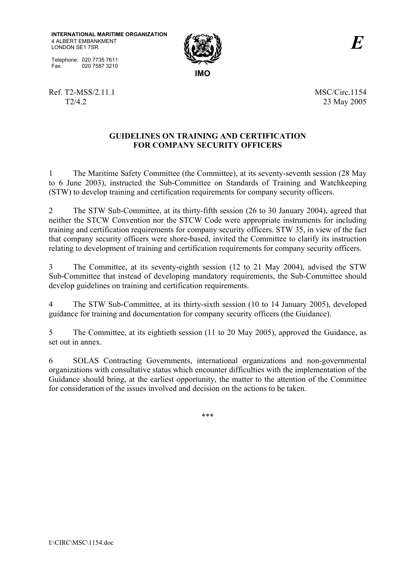**INTERNATIONAL MARITIME ORGANIZATION** 4 ALBERT EMBANKMENT LONDON SE1 7SR

Telephone: 020 7735 7611 Fax: 020 7587 3210



Ref. T2-MSS/2.11.1 MSC/Circ.1154

T2/4.2 23 May 2005

## **GUIDELINES ON TRAINING AND CERTIFICATION FOR COMPANY SECURITY OFFICERS**

1 The Maritime Safety Committee (the Committee), at its seventy-seventh session (28 May to 6 June 2003), instructed the Sub-Committee on Standards of Training and Watchkeeping (STW) to develop training and certification requirements for company security officers.

2 The STW Sub-Committee, at its thirty-fifth session (26 to 30 January 2004), agreed that neither the STCW Convention nor the STCW Code were appropriate instruments for including training and certification requirements for company security officers. STW 35, in view of the fact that company security officers were shore-based, invited the Committee to clarify its instruction relating to development of training and certification requirements for company security officers.

3 The Committee, at its seventy-eighth session (12 to 21 May 2004), advised the STW Sub-Committee that instead of developing mandatory requirements, the Sub-Committee should develop guidelines on training and certification requirements.

4 The STW Sub-Committee, at its thirty-sixth session (10 to 14 January 2005), developed guidance for training and documentation for company security officers (the Guidance).

5 The Committee, at its eightieth session (11 to 20 May 2005), approved the Guidance, as set out in annex.

6 SOLAS Contracting Governments, international organizations and non-governmental organizations with consultative status which encounter difficulties with the implementation of the Guidance should bring, at the earliest opportunity, the matter to the attention of the Committee for consideration of the issues involved and decision on the actions to be taken.

\*\*\*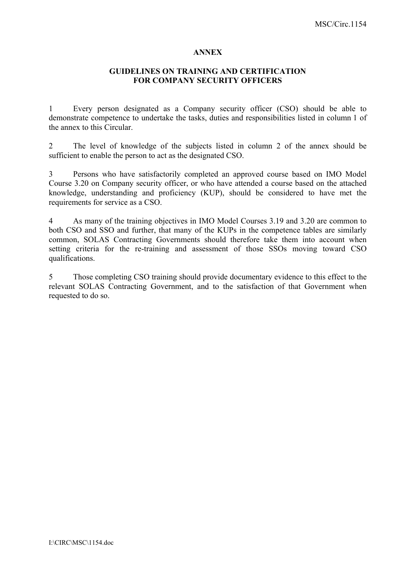#### **ANNEX**

### **GUIDELINES ON TRAINING AND CERTIFICATION FOR COMPANY SECURITY OFFICERS**

1 Every person designated as a Company security officer (CSO) should be able to demonstrate competence to undertake the tasks, duties and responsibilities listed in column 1 of the annex to this Circular.

2 The level of knowledge of the subjects listed in column 2 of the annex should be sufficient to enable the person to act as the designated CSO.

3 Persons who have satisfactorily completed an approved course based on IMO Model Course 3.20 on Company security officer, or who have attended a course based on the attached knowledge, understanding and proficiency (KUP), should be considered to have met the requirements for service as a CSO.

4 As many of the training objectives in IMO Model Courses 3.19 and 3.20 are common to both CSO and SSO and further, that many of the KUPs in the competence tables are similarly common, SOLAS Contracting Governments should therefore take them into account when setting criteria for the re-training and assessment of those SSOs moving toward CSO qualifications.

5 Those completing CSO training should provide documentary evidence to this effect to the relevant SOLAS Contracting Government, and to the satisfaction of that Government when requested to do so.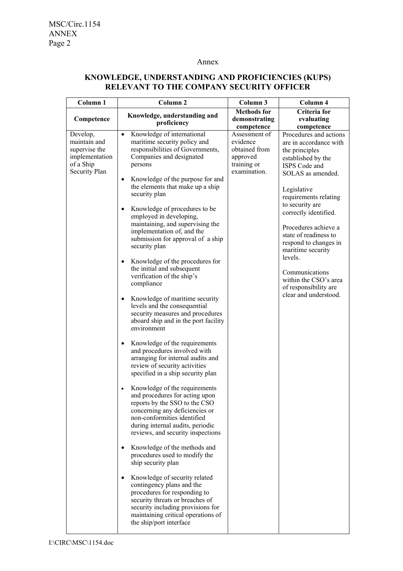#### Annex

# **KNOWLEDGE, UNDERSTANDING AND PROFICIENCIES (KUPS) RELEVANT TO THE COMPANY SECURITY OFFICER**

| Column 1                                                                                  | Column <sub>2</sub>                                                                                                                                                                                                                                                                                                                                                                                                                                                                                                                                                                                                                                                                                                                                                                                                                                                                                                                                                                                                                                                                                                                                                                                                                                                                                                                                                                                                                                                                             | Column 3                                                                                            | Column 4                                                                                                                                                                                                                                                                                                                                                                                                                                |
|-------------------------------------------------------------------------------------------|-------------------------------------------------------------------------------------------------------------------------------------------------------------------------------------------------------------------------------------------------------------------------------------------------------------------------------------------------------------------------------------------------------------------------------------------------------------------------------------------------------------------------------------------------------------------------------------------------------------------------------------------------------------------------------------------------------------------------------------------------------------------------------------------------------------------------------------------------------------------------------------------------------------------------------------------------------------------------------------------------------------------------------------------------------------------------------------------------------------------------------------------------------------------------------------------------------------------------------------------------------------------------------------------------------------------------------------------------------------------------------------------------------------------------------------------------------------------------------------------------|-----------------------------------------------------------------------------------------------------|-----------------------------------------------------------------------------------------------------------------------------------------------------------------------------------------------------------------------------------------------------------------------------------------------------------------------------------------------------------------------------------------------------------------------------------------|
| Competence                                                                                | Knowledge, understanding and<br>proficiency                                                                                                                                                                                                                                                                                                                                                                                                                                                                                                                                                                                                                                                                                                                                                                                                                                                                                                                                                                                                                                                                                                                                                                                                                                                                                                                                                                                                                                                     | <b>Methods</b> for<br>demonstrating                                                                 | Criteria for<br>evaluating                                                                                                                                                                                                                                                                                                                                                                                                              |
| Develop,<br>maintain and<br>supervise the<br>implementation<br>of a Ship<br>Security Plan | Knowledge of international<br>$\bullet$<br>maritime security policy and<br>responsibilities of Governments,<br>Companies and designated<br>persons<br>Knowledge of the purpose for and<br>٠<br>the elements that make up a ship<br>security plan<br>Knowledge of procedures to be<br>٠<br>employed in developing,<br>maintaining, and supervising the<br>implementation of, and the<br>submission for approval of a ship<br>security plan<br>Knowledge of the procedures for<br>٠<br>the initial and subsequent<br>verification of the ship's<br>compliance<br>Knowledge of maritime security<br>٠<br>levels and the consequential<br>security measures and procedures<br>aboard ship and in the port facility<br>environment<br>Knowledge of the requirements<br>٠<br>and procedures involved with<br>arranging for internal audits and<br>review of security activities<br>specified in a ship security plan<br>Knowledge of the requirements<br>and procedures for acting upon<br>reports by the SSO to the CSO<br>concerning any deficiencies or<br>non-conformities identified<br>during internal audits, periodic<br>reviews, and security inspections<br>Knowledge of the methods and<br>procedures used to modify the<br>ship security plan<br>Knowledge of security related<br>٠<br>contingency plans and the<br>procedures for responding to<br>security threats or breaches of<br>security including provisions for<br>maintaining critical operations of<br>the ship/port interface | competence<br>Assessment of<br>evidence<br>obtained from<br>approved<br>training or<br>examination. | competence<br>Procedures and actions<br>are in accordance with<br>the principles<br>established by the<br>ISPS Code and<br>SOLAS as amended.<br>Legislative<br>requirements relating<br>to security are<br>correctly identified.<br>Procedures achieve a<br>state of readiness to<br>respond to changes in<br>maritime security<br>levels.<br>Communications<br>within the CSO's area<br>of responsibility are<br>clear and understood. |
|                                                                                           |                                                                                                                                                                                                                                                                                                                                                                                                                                                                                                                                                                                                                                                                                                                                                                                                                                                                                                                                                                                                                                                                                                                                                                                                                                                                                                                                                                                                                                                                                                 |                                                                                                     |                                                                                                                                                                                                                                                                                                                                                                                                                                         |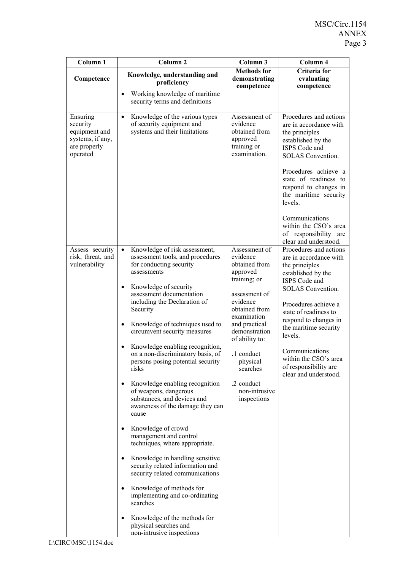| Column 1                                                                              | Column <sub>2</sub>                                                                                                                 | Column 3                                                                              | Column 4                                                                                                                                                                                                                                 |
|---------------------------------------------------------------------------------------|-------------------------------------------------------------------------------------------------------------------------------------|---------------------------------------------------------------------------------------|------------------------------------------------------------------------------------------------------------------------------------------------------------------------------------------------------------------------------------------|
| Competence                                                                            | Knowledge, understanding and<br>proficiency                                                                                         | <b>Methods</b> for<br>demonstrating<br>competence                                     | Criteria for<br>evaluating<br>competence                                                                                                                                                                                                 |
|                                                                                       | Working knowledge of maritime<br>$\bullet$<br>security terms and definitions                                                        |                                                                                       |                                                                                                                                                                                                                                          |
| Ensuring<br>security<br>equipment and<br>systems, if any,<br>are properly<br>operated | Knowledge of the various types<br>$\bullet$<br>of security equipment and<br>systems and their limitations                           | Assessment of<br>evidence<br>obtained from<br>approved<br>training or<br>examination. | Procedures and actions<br>are in accordance with<br>the principles<br>established by the<br>ISPS Code and<br><b>SOLAS</b> Convention.<br>Procedures achieve a<br>state of readiness to<br>respond to changes in<br>the maritime security |
|                                                                                       |                                                                                                                                     |                                                                                       | levels.<br>Communications<br>within the CSO's area<br>of responsibility are<br>clear and understood.                                                                                                                                     |
| Assess security<br>risk, threat, and<br>vulnerability                                 | Knowledge of risk assessment,<br>$\bullet$<br>assessment tools, and procedures<br>for conducting security<br>assessments            | Assessment of<br>evidence<br>obtained from<br>approved<br>training; or                | Procedures and actions<br>are in accordance with<br>the principles<br>established by the                                                                                                                                                 |
|                                                                                       | Knowledge of security<br>$\bullet$<br>assessment documentation<br>including the Declaration of<br>Security                          | assessment of<br>evidence<br>obtained from<br>examination                             | ISPS Code and<br><b>SOLAS</b> Convention.<br>Procedures achieve a<br>state of readiness to                                                                                                                                               |
|                                                                                       | Knowledge of techniques used to<br>$\bullet$<br>circumvent security measures                                                        | and practical<br>demonstration<br>of ability to:                                      | respond to changes in<br>the maritime security<br>levels.                                                                                                                                                                                |
|                                                                                       | Knowledge enabling recognition,<br>$\bullet$<br>on a non-discriminatory basis, of<br>persons posing potential security<br>risks     | .1 conduct<br>physical<br>searches                                                    | Communications<br>within the CSO's area<br>of responsibility are<br>clear and understood.                                                                                                                                                |
|                                                                                       | Knowledge enabling recognition<br>of weapons, dangerous<br>substances, and devices and<br>awareness of the damage they can<br>cause | .2 conduct<br>non-intrusive<br>inspections                                            |                                                                                                                                                                                                                                          |
|                                                                                       | Knowledge of crowd<br>management and control<br>techniques, where appropriate.                                                      |                                                                                       |                                                                                                                                                                                                                                          |
|                                                                                       | Knowledge in handling sensitive<br>security related information and<br>security related communications                              |                                                                                       |                                                                                                                                                                                                                                          |
|                                                                                       | Knowledge of methods for<br>$\bullet$<br>implementing and co-ordinating<br>searches                                                 |                                                                                       |                                                                                                                                                                                                                                          |
|                                                                                       | Knowledge of the methods for<br>physical searches and<br>non-intrusive inspections                                                  |                                                                                       |                                                                                                                                                                                                                                          |